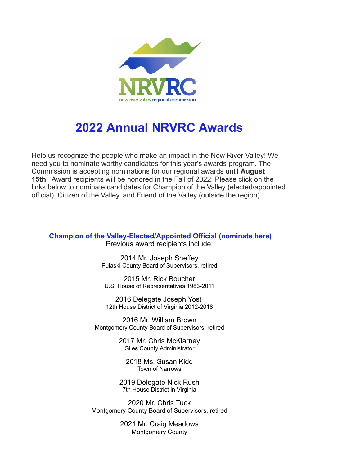

## **2022 Annual NRVRC Awards**

Help us recognize the people who make an impact in the New River Valley! We need you to nominate worthy candidates for this year's awards program. The Commission is accepting nominations for our regional awards until **August 15th**. Award recipients will be honored in the Fall of 2022. Please click on the links below to nominate candidates for Champion of the Valley (elected/appointed official), Citizen of the Valley, and Friend of the Valley (outside the region).

**[Champion of the Valley-Elected/Appointed Official \(nominate here\)](https://r20.rs6.net/tn.jsp?f=001GvGUgZaQScZJBkFhUreK4w8I8rT-0sS6Q9Xu2afT5QqvhR3G7YATL0juNhPQW5fIGD9Msc85cRIC0cHSL0HT1_cWEgqxVA6VH4n6VLJkp5nEuYqWp8UtwPy6vbjDJxUlpLnyDHPKyJ2eA585b-B_fPk2DvSqMUhu7akjkAlK6sgNVGCNnESS4TtBMFSsbq-Bo4EI-es8n64=&c=h63mebbjgvw8uhAbBOf7RoP955Y5qkeRDenQ8hkM5jCjVnv7Vg_-ow==&ch=NPctdNnEsQXlp9xdxrV-9nCQM5MtySQ4DrGfXufTfiElhzxaWg9J9g==)**

Previous award recipients include:

2014 Mr. Joseph Sheffey Pulaski County Board of Supervisors, retired

2015 Mr. Rick Boucher U.S. House of Representatives 1983-2011

2016 Delegate Joseph Yost 12th House District of Virginia 2012-2018

2016 Mr. William Brown Montgomery County Board of Supervisors, retired

> 2017 Mr. Chris McKlarney Giles County Administrator

2018 Ms. Susan Kidd Town of Narrows

2019 Delegate Nick Rush 7th House District in Virginia

2020 Mr. Chris Tuck Montgomery County Board of Supervisors, retired

> 2021 Mr. Craig Meadows Montgomery County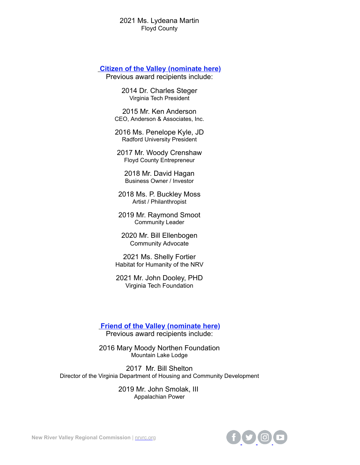## 2021 Ms. Lydeana Martin Floyd County

## **[Citizen of the Valley](https://r20.rs6.net/tn.jsp?f=001GvGUgZaQScZJBkFhUreK4w8I8rT-0sS6Q9Xu2afT5QqvhR3G7YATL0juNhPQW5fIZaHRq4mkmP7xWJgIGXq2SyINmBQ8i_ovHU2Zv87R4wfK9yrIEdt6k9j9L1uFQ4kqmkP89iyvmE2SxZN7_aRoUEs1tTOGSynLuYUAHzCoNbEWRIf_qVbIi4vAvUtRo9G_&c=h63mebbjgvw8uhAbBOf7RoP955Y5qkeRDenQ8hkM5jCjVnv7Vg_-ow==&ch=NPctdNnEsQXlp9xdxrV-9nCQM5MtySQ4DrGfXufTfiElhzxaWg9J9g==) (nominate here)**

Previous award recipients include:

2014 Dr. Charles Steger Virginia Tech President

2015 Mr. Ken Anderson CEO, Anderson & Associates, Inc.

2016 Ms. Penelope Kyle, JD Radford University President

2017 Mr. Woody Crenshaw Floyd County Entrepreneur

2018 Mr. David Hagan Business Owner / Investor

2018 Ms. P. Buckley Moss Artist / Philanthropist

2019 Mr. Raymond Smoot Community Leader

2020 Mr. Bill Ellenbogen Community Advocate

2021 Ms. Shelly Fortier Habitat for Humanity of the NRV

2021 Mr. John Dooley, PHD Virginia Tech Foundation

**[Friend of the Valley](https://r20.rs6.net/tn.jsp?f=001GvGUgZaQScZJBkFhUreK4w8I8rT-0sS6Q9Xu2afT5QqvhR3G7YATL0juNhPQW5fI7fCjkHYZ00OasXs-TOVnXQgLv2XFbNk4h-teHmP5sbyXpe2sATrK0v97RqtVjhFkms1lK7DJkhST-N9QT6JwIwd3hjVASkuXV6FGGNt6DNzuXSgKVI4K4iepV3zgwSn8&c=h63mebbjgvw8uhAbBOf7RoP955Y5qkeRDenQ8hkM5jCjVnv7Vg_-ow==&ch=NPctdNnEsQXlp9xdxrV-9nCQM5MtySQ4DrGfXufTfiElhzxaWg9J9g==) (nominate here)**

Previous award recipients include:

2016 Mary Moody Northen Foundation Mountain Lake Lodge

2017 Mr. Bill Shelton Director of the Virginia Department of Housing and Community Development

> 2019 Mr. John Smolak, III Appalachian Power